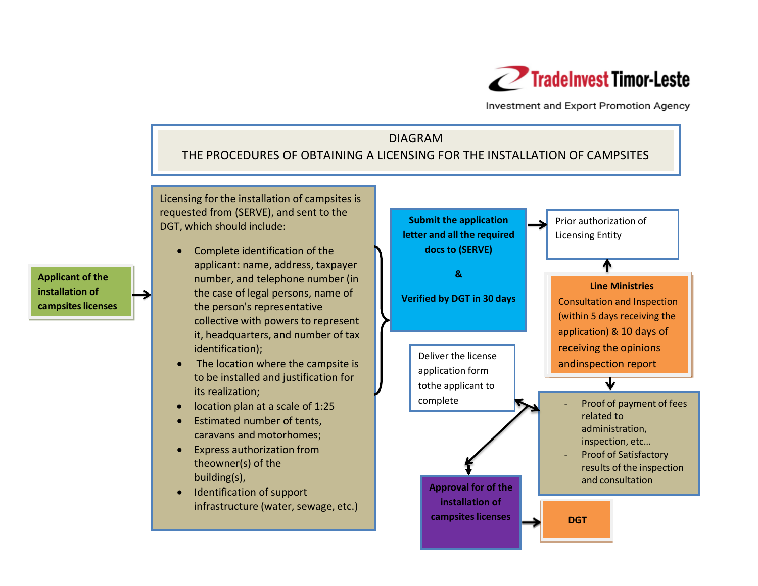

Investment and Export Promotion Agency

## DIAGRAM THE PROCEDURES OF OBTAINING A LICENSING FOR THE INSTALLATION OF CAMPSITES

Licensing for the installation of campsites is requested from (SERVE), and sent to the DGT, which should include:

- Complete identification of the applicant: name, address, taxpayer number, and telephone number (in the case of legal persons, name of the person's representative collective with powers to represent it, headquarters, and number of tax identification);
- The location where the campsite is to be installed and justification for its realization;
- location plan at a scale of 1:25
- Estimated number of tents, caravans and motorhomes;
- Express authorization from theowner(s) of the building(s),
- Identification of support infrastructure (water, sewage, etc.)



**Applicant of the installation of campsites licenses**